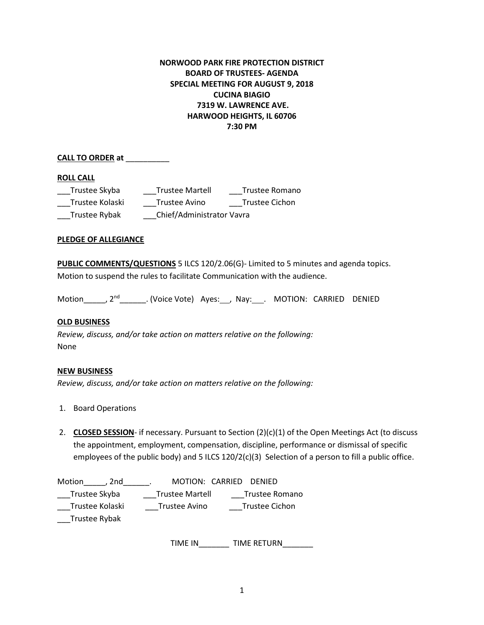# **NORWOOD PARK FIRE PROTECTION DISTRICT BOARD OF TRUSTEES- AGENDA SPECIAL MEETING FOR AUGUST 9, 2018 CUCINA BIAGIO 7319 W. LAWRENCE AVE. HARWOOD HEIGHTS, IL 60706 7:30 PM**

## **CALL TO ORDER at** \_\_\_\_\_\_\_\_\_\_

#### **ROLL CALL**

| Trustee Skyba   | <b>Trustee Martell</b>    | Trustee Romano |
|-----------------|---------------------------|----------------|
| Trustee Kolaski | Trustee Avino             | Trustee Cichon |
| Trustee Rybak   | Chief/Administrator Vavra |                |

### **PLEDGE OF ALLEGIANCE**

**PUBLIC COMMENTS/QUESTIONS** 5 ILCS 120/2.06(G)- Limited to 5 minutes and agenda topics. Motion to suspend the rules to facilitate Communication with the audience.

Motion \_\_\_\_, 2<sup>nd</sup> \_\_\_\_\_\_\_. (Voice Vote) Ayes: , Nay: . MOTION: CARRIED DENIED

### **OLD BUSINESS**

*Review, discuss, and/or take action on matters relative on the following:*  None

### **NEW BUSINESS**

*Review, discuss, and/or take action on matters relative on the following:* 

- 1. Board Operations
- 2. **CLOSED SESSION** if necessary. Pursuant to Section (2)(c)(1) of the Open Meetings Act (to discuss the appointment, employment, compensation, discipline, performance or dismissal of specific employees of the public body) and 5 ILCS 120/2(c)(3) Selection of a person to fill a public office.

| Motion<br>2nd   | MOTION: CARRIED DENIED |                |
|-----------------|------------------------|----------------|
| Trustee Skyba   | <b>Trustee Martell</b> | Trustee Romano |
| Trustee Kolaski | Trustee Avino          | Trustee Cichon |
| Trustee Rybak   |                        |                |

TIME IN TIME RETURN